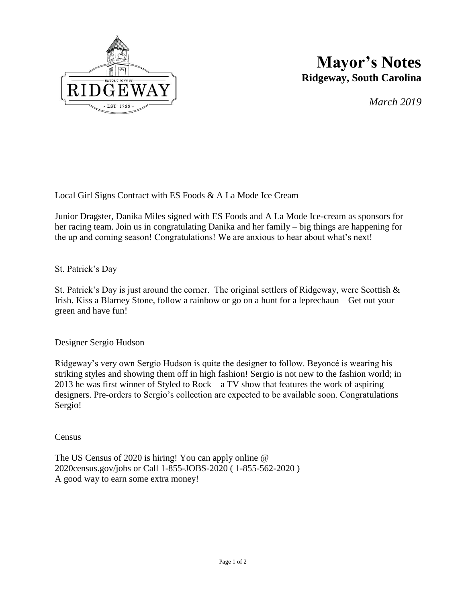

## **Mayor's Notes Ridgeway, South Carolina**

*March 2019*

Local Girl Signs Contract with ES Foods & A La Mode Ice Cream

Junior Dragster, Danika Miles signed with ES Foods and A La Mode Ice-cream as sponsors for her racing team. Join us in congratulating Danika and her family – big things are happening for the up and coming season! Congratulations! We are anxious to hear about what's next!

## St. Patrick's Day

St. Patrick's Day is just around the corner. The original settlers of Ridgeway, were Scottish  $\&$ Irish. Kiss a Blarney Stone, follow a rainbow or go on a hunt for a leprechaun – Get out your green and have fun!

Designer Sergio Hudson

Ridgeway's very own Sergio Hudson is quite the designer to follow. Beyoncé is wearing his striking styles and showing them off in high fashion! Sergio is not new to the fashion world; in 2013 he was first winner of Styled to Rock – a TV show that features the work of aspiring designers. Pre-orders to Sergio's collection are expected to be available soon. Congratulations Sergio!

**Census** 

The US Census of 2020 is hiring! You can apply online @ 2020census.gov/jobs or Call 1-855-JOBS-2020 ( 1-855-562-2020 ) A good way to earn some extra money!